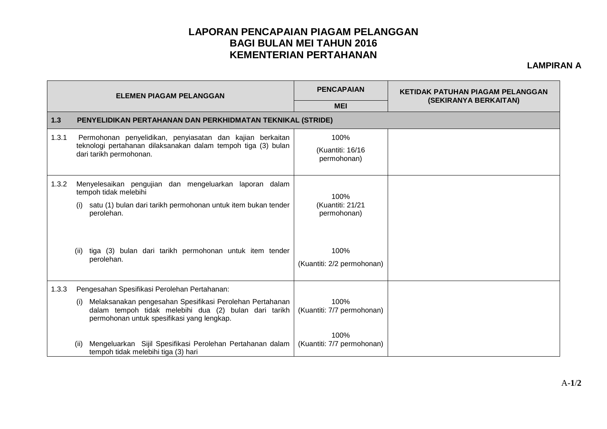## **LAPORAN PENCAPAIAN PIAGAM PELANGGAN BAGI BULAN MEI TAHUN 2016 KEMENTERIAN PERTAHANAN**

**LAMPIRAN A**

| <b>ELEMEN PIAGAM PELANGGAN</b> |                                                                                                                                                                        | <b>PENCAPAIAN</b>                       | <b>KETIDAK PATUHAN PIAGAM PELANGGAN</b><br>(SEKIRANYA BERKAITAN) |  |  |  |
|--------------------------------|------------------------------------------------------------------------------------------------------------------------------------------------------------------------|-----------------------------------------|------------------------------------------------------------------|--|--|--|
|                                |                                                                                                                                                                        | <b>MEI</b>                              |                                                                  |  |  |  |
| 1.3                            | PENYELIDIKAN PERTAHANAN DAN PERKHIDMATAN TEKNIKAL (STRIDE)                                                                                                             |                                         |                                                                  |  |  |  |
| 1.3.1                          | Permohonan penyelidikan, penyiasatan dan kajian berkaitan<br>teknologi pertahanan dilaksanakan dalam tempoh tiga (3) bulan<br>dari tarikh permohonan.                  | 100%<br>(Kuantiti: 16/16<br>permohonan) |                                                                  |  |  |  |
| 1.3.2                          | Menyelesaikan pengujian dan mengeluarkan laporan dalam<br>tempoh tidak melebihi                                                                                        | 100%<br>(Kuantiti: 21/21<br>permohonan) |                                                                  |  |  |  |
|                                | satu (1) bulan dari tarikh permohonan untuk item bukan tender<br>(i)<br>perolehan.                                                                                     |                                         |                                                                  |  |  |  |
|                                | tiga (3) bulan dari tarikh permohonan untuk item tender<br>(ii)<br>perolehan.                                                                                          | 100%<br>(Kuantiti: 2/2 permohonan)      |                                                                  |  |  |  |
| 1.3.3                          | Pengesahan Spesifikasi Perolehan Pertahanan:                                                                                                                           |                                         |                                                                  |  |  |  |
|                                | Melaksanakan pengesahan Spesifikasi Perolehan Pertahanan<br>(i)<br>dalam tempoh tidak melebihi dua (2) bulan dari tarikh<br>permohonan untuk spesifikasi yang lengkap. | 100%<br>(Kuantiti: 7/7 permohonan)      |                                                                  |  |  |  |
|                                | Mengeluarkan Sijil Spesifikasi Perolehan Pertahanan dalam<br>(ii)<br>tempoh tidak melebihi tiga (3) hari                                                               | 100%<br>(Kuantiti: 7/7 permohonan)      |                                                                  |  |  |  |